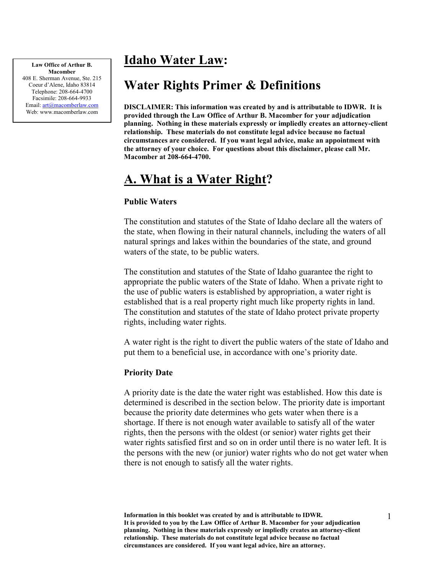### Idaho Water Law:

Law Office of Arthur B. Macomber 408 E. Sherman Avenue, Ste. 215 Coeur d'Alene, Idaho 83814 Telephone: 208-664-4700 Facsimile: 208-664-9933 Email: art@macomberlaw.com Web: www.macomberlaw.com

# Water Rights Primer & Definitions

DISCLAIMER: This information was created by and is attributable to IDWR. It is provided through the Law Office of Arthur B. Macomber for your adjudication planning. Nothing in these materials expressly or impliedly creates an attorney-client relationship. These materials do not constitute legal advice because no factual circumstances are considered. If you want legal advice, make an appointment with the attorney of your choice. For questions about this disclaimer, please call Mr. Macomber at 208-664-4700.

## A. What is a Water Right?

### Public Waters

The constitution and statutes of the State of Idaho declare all the waters of the state, when flowing in their natural channels, including the waters of all natural springs and lakes within the boundaries of the state, and ground waters of the state, to be public waters.

The constitution and statutes of the State of Idaho guarantee the right to appropriate the public waters of the State of Idaho. When a private right to the use of public waters is established by appropriation, a water right is established that is a real property right much like property rights in land. The constitution and statutes of the state of Idaho protect private property rights, including water rights.

A water right is the right to divert the public waters of the state of Idaho and put them to a beneficial use, in accordance with one's priority date.

### Priority Date

A priority date is the date the water right was established. How this date is determined is described in the section below. The priority date is important because the priority date determines who gets water when there is a shortage. If there is not enough water available to satisfy all of the water rights, then the persons with the oldest (or senior) water rights get their water rights satisfied first and so on in order until there is no water left. It is the persons with the new (or junior) water rights who do not get water when there is not enough to satisfy all the water rights.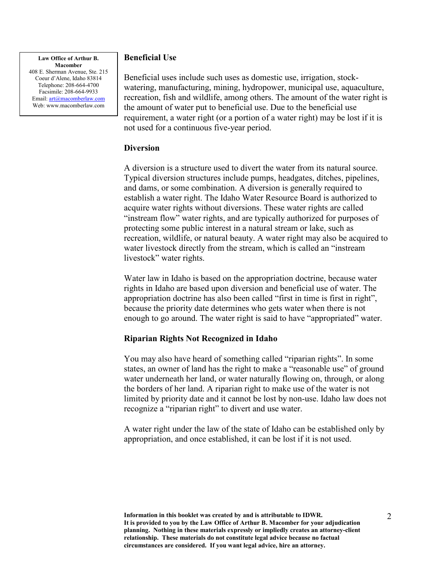#### Law Office of Arthur B. Macomber

408 E. Sherman Avenue, Ste. 215 Coeur d'Alene, Idaho 83814 Telephone: 208-664-4700 Facsimile: 208-664-9933 Email: art@macomberlaw.com Web: www.macomberlaw.com

### Beneficial Use

Beneficial uses include such uses as domestic use, irrigation, stockwatering, manufacturing, mining, hydropower, municipal use, aquaculture, recreation, fish and wildlife, among others. The amount of the water right is the amount of water put to beneficial use. Due to the beneficial use requirement, a water right (or a portion of a water right) may be lost if it is not used for a continuous five-year period.

#### **Diversion**

A diversion is a structure used to divert the water from its natural source. Typical diversion structures include pumps, headgates, ditches, pipelines, and dams, or some combination. A diversion is generally required to establish a water right. The Idaho Water Resource Board is authorized to acquire water rights without diversions. These water rights are called "instream flow" water rights, and are typically authorized for purposes of protecting some public interest in a natural stream or lake, such as recreation, wildlife, or natural beauty. A water right may also be acquired to water livestock directly from the stream, which is called an "instream livestock" water rights.

Water law in Idaho is based on the appropriation doctrine, because water rights in Idaho are based upon diversion and beneficial use of water. The appropriation doctrine has also been called "first in time is first in right", because the priority date determines who gets water when there is not enough to go around. The water right is said to have "appropriated" water.

### Riparian Rights Not Recognized in Idaho

You may also have heard of something called "riparian rights". In some states, an owner of land has the right to make a "reasonable use" of ground water underneath her land, or water naturally flowing on, through, or along the borders of her land. A riparian right to make use of the water is not limited by priority date and it cannot be lost by non-use. Idaho law does not recognize a "riparian right" to divert and use water.

A water right under the law of the state of Idaho can be established only by appropriation, and once established, it can be lost if it is not used.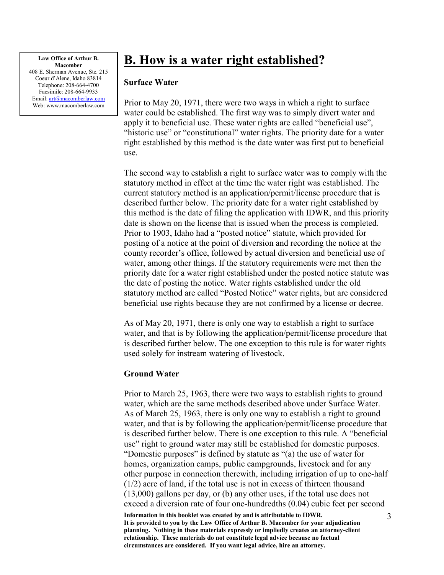### B. How is a water right established?

#### Surface Water

Prior to May 20, 1971, there were two ways in which a right to surface water could be established. The first way was to simply divert water and apply it to beneficial use. These water rights are called "beneficial use", "historic use" or "constitutional" water rights. The priority date for a water right established by this method is the date water was first put to beneficial use.

The second way to establish a right to surface water was to comply with the statutory method in effect at the time the water right was established. The current statutory method is an application/permit/license procedure that is described further below. The priority date for a water right established by this method is the date of filing the application with IDWR, and this priority date is shown on the license that is issued when the process is completed. Prior to 1903, Idaho had a "posted notice" statute, which provided for posting of a notice at the point of diversion and recording the notice at the county recorder's office, followed by actual diversion and beneficial use of water, among other things. If the statutory requirements were met then the priority date for a water right established under the posted notice statute was the date of posting the notice. Water rights established under the old statutory method are called "Posted Notice" water rights, but are considered beneficial use rights because they are not confirmed by a license or decree.

As of May 20, 1971, there is only one way to establish a right to surface water, and that is by following the application/permit/license procedure that is described further below. The one exception to this rule is for water rights used solely for instream watering of livestock.

#### Ground Water

Information in this booklet was created by and is attributable to IDWR. It is provided to you by the Law Office of Arthur B. Macomber for your adjudication Prior to March 25, 1963, there were two ways to establish rights to ground water, which are the same methods described above under Surface Water. As of March 25, 1963, there is only one way to establish a right to ground water, and that is by following the application/permit/license procedure that is described further below. There is one exception to this rule. A "beneficial use" right to ground water may still be established for domestic purposes. "Domestic purposes" is defined by statute as "(a) the use of water for homes, organization camps, public campgrounds, livestock and for any other purpose in connection therewith, including irrigation of up to one-half (1/2) acre of land, if the total use is not in excess of thirteen thousand (13,000) gallons per day, or (b) any other uses, if the total use does not exceed a diversion rate of four one-hundredths (0.04) cubic feet per second

planning. Nothing in these materials expressly or impliedly creates an attorney-client relationship. These materials do not constitute legal advice because no factual circumstances are considered. If you want legal advice, hire an attorney.

3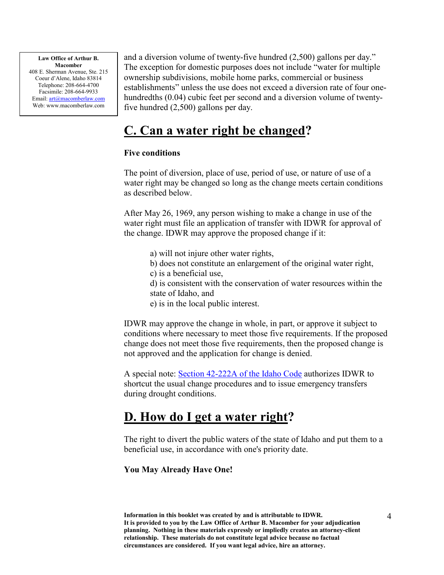and a diversion volume of twenty-five hundred (2,500) gallons per day." The exception for domestic purposes does not include "water for multiple ownership subdivisions, mobile home parks, commercial or business establishments" unless the use does not exceed a diversion rate of four onehundredths (0.04) cubic feet per second and a diversion volume of twentyfive hundred (2,500) gallons per day.

## C. Can a water right be changed?

### Five conditions

The point of diversion, place of use, period of use, or nature of use of a water right may be changed so long as the change meets certain conditions as described below.

After May 26, 1969, any person wishing to make a change in use of the water right must file an application of transfer with IDWR for approval of the change. IDWR may approve the proposed change if it:

- a) will not injure other water rights,
- b) does not constitute an enlargement of the original water right,
- c) is a beneficial use,

d) is consistent with the conservation of water resources within the state of Idaho, and

e) is in the local public interest.

IDWR may approve the change in whole, in part, or approve it subject to conditions where necessary to meet those five requirements. If the proposed change does not meet those five requirements, then the proposed change is not approved and the application for change is denied.

A special note: Section 42-222A of the Idaho Code authorizes IDWR to shortcut the usual change procedures and to issue emergency transfers during drought conditions.

### D. How do I get a water right?

The right to divert the public waters of the state of Idaho and put them to a beneficial use, in accordance with one's priority date.

### You May Already Have One!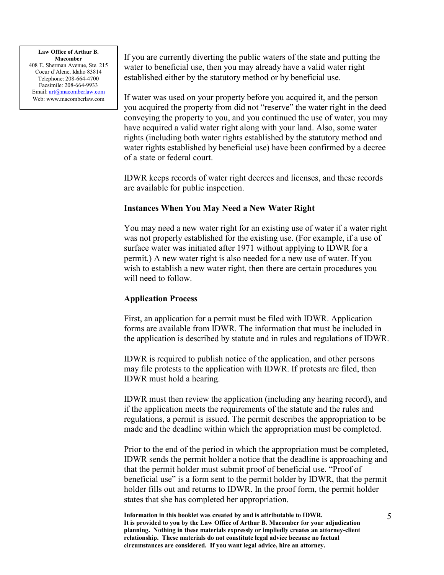#### Law Office of Arthur B. Macomber

408 E. Sherman Avenue, Ste. 215 Coeur d'Alene, Idaho 83814 Telephone: 208-664-4700 Facsimile: 208-664-9933 Email: art@macomberlaw.com Web: www.macomberlaw.com

If you are currently diverting the public waters of the state and putting the water to beneficial use, then you may already have a valid water right established either by the statutory method or by beneficial use.

If water was used on your property before you acquired it, and the person you acquired the property from did not "reserve" the water right in the deed conveying the property to you, and you continued the use of water, you may have acquired a valid water right along with your land. Also, some water rights (including both water rights established by the statutory method and water rights established by beneficial use) have been confirmed by a decree of a state or federal court.

IDWR keeps records of water right decrees and licenses, and these records are available for public inspection.

### Instances When You May Need a New Water Right

You may need a new water right for an existing use of water if a water right was not properly established for the existing use. (For example, if a use of surface water was initiated after 1971 without applying to IDWR for a permit.) A new water right is also needed for a new use of water. If you wish to establish a new water right, then there are certain procedures you will need to follow.

### Application Process

First, an application for a permit must be filed with IDWR. Application forms are available from IDWR. The information that must be included in the application is described by statute and in rules and regulations of IDWR.

IDWR is required to publish notice of the application, and other persons may file protests to the application with IDWR. If protests are filed, then IDWR must hold a hearing.

IDWR must then review the application (including any hearing record), and if the application meets the requirements of the statute and the rules and regulations, a permit is issued. The permit describes the appropriation to be made and the deadline within which the appropriation must be completed.

Prior to the end of the period in which the appropriation must be completed, IDWR sends the permit holder a notice that the deadline is approaching and that the permit holder must submit proof of beneficial use. "Proof of beneficial use" is a form sent to the permit holder by IDWR, that the permit holder fills out and returns to IDWR. In the proof form, the permit holder states that she has completed her appropriation.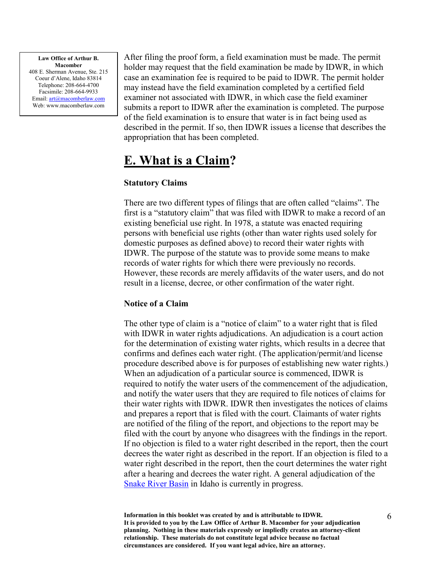After filing the proof form, a field examination must be made. The permit holder may request that the field examination be made by IDWR, in which case an examination fee is required to be paid to IDWR. The permit holder may instead have the field examination completed by a certified field examiner not associated with IDWR, in which case the field examiner submits a report to IDWR after the examination is completed. The purpose of the field examination is to ensure that water is in fact being used as described in the permit. If so, then IDWR issues a license that describes the appropriation that has been completed.

### E. What is a Claim?

### Statutory Claims

There are two different types of filings that are often called "claims". The first is a "statutory claim" that was filed with IDWR to make a record of an existing beneficial use right. In 1978, a statute was enacted requiring persons with beneficial use rights (other than water rights used solely for domestic purposes as defined above) to record their water rights with IDWR. The purpose of the statute was to provide some means to make records of water rights for which there were previously no records. However, these records are merely affidavits of the water users, and do not result in a license, decree, or other confirmation of the water right.

### Notice of a Claim

The other type of claim is a "notice of claim" to a water right that is filed with IDWR in water rights adjudications. An adjudication is a court action for the determination of existing water rights, which results in a decree that confirms and defines each water right. (The application/permit/and license procedure described above is for purposes of establishing new water rights.) When an adjudication of a particular source is commenced, IDWR is required to notify the water users of the commencement of the adjudication, and notify the water users that they are required to file notices of claims for their water rights with IDWR. IDWR then investigates the notices of claims and prepares a report that is filed with the court. Claimants of water rights are notified of the filing of the report, and objections to the report may be filed with the court by anyone who disagrees with the findings in the report. If no objection is filed to a water right described in the report, then the court decrees the water right as described in the report. If an objection is filed to a water right described in the report, then the court determines the water right after a hearing and decrees the water right. A general adjudication of the Snake River Basin in Idaho is currently in progress.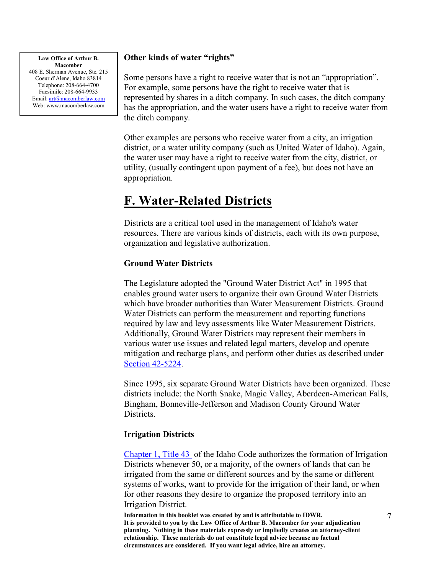### Other kinds of water "rights"

Some persons have a right to receive water that is not an "appropriation". For example, some persons have the right to receive water that is represented by shares in a ditch company. In such cases, the ditch company has the appropriation, and the water users have a right to receive water from the ditch company.

Other examples are persons who receive water from a city, an irrigation district, or a water utility company (such as United Water of Idaho). Again, the water user may have a right to receive water from the city, district, or utility, (usually contingent upon payment of a fee), but does not have an appropriation.

### F. Water-Related Districts

Districts are a critical tool used in the management of Idaho's water resources. There are various kinds of districts, each with its own purpose, organization and legislative authorization.

### Ground Water Districts

The Legislature adopted the "Ground Water District Act" in 1995 that enables ground water users to organize their own Ground Water Districts which have broader authorities than Water Measurement Districts. Ground Water Districts can perform the measurement and reporting functions required by law and levy assessments like Water Measurement Districts. Additionally, Ground Water Districts may represent their members in various water use issues and related legal matters, develop and operate mitigation and recharge plans, and perform other duties as described under Section 42-5224.

Since 1995, six separate Ground Water Districts have been organized. These districts include: the North Snake, Magic Valley, Aberdeen-American Falls, Bingham, Bonneville-Jefferson and Madison County Ground Water **Districts** 

#### Irrigation Districts

Chapter 1, Title 43 of the Idaho Code authorizes the formation of Irrigation Districts whenever 50, or a majority, of the owners of lands that can be irrigated from the same or different sources and by the same or different systems of works, want to provide for the irrigation of their land, or when for other reasons they desire to organize the proposed territory into an Irrigation District.